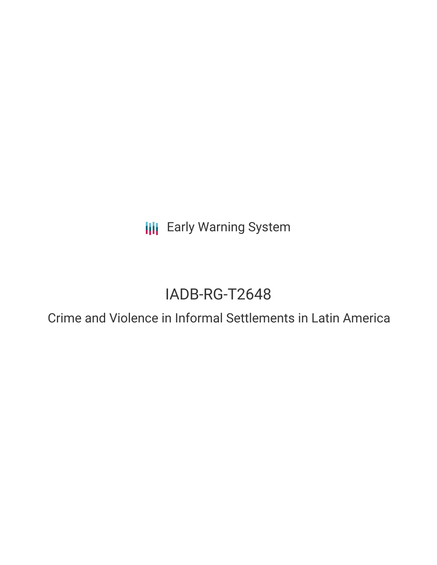**III** Early Warning System

# IADB-RG-T2648

Crime and Violence in Informal Settlements in Latin America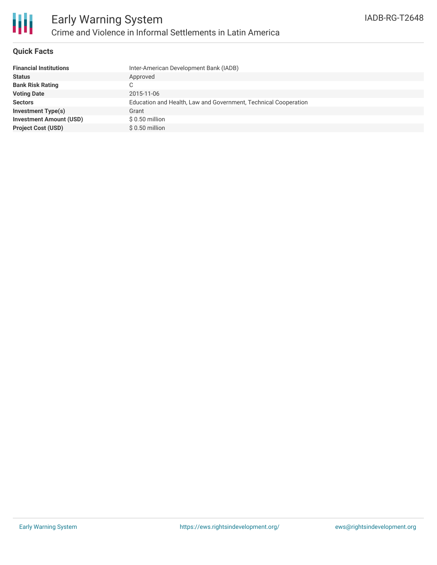

#### **Quick Facts**

| <b>Financial Institutions</b>  | Inter-American Development Bank (IADB)                          |
|--------------------------------|-----------------------------------------------------------------|
| <b>Status</b>                  | Approved                                                        |
| <b>Bank Risk Rating</b>        | C                                                               |
| <b>Voting Date</b>             | 2015-11-06                                                      |
| <b>Sectors</b>                 | Education and Health, Law and Government, Technical Cooperation |
| <b>Investment Type(s)</b>      | Grant                                                           |
| <b>Investment Amount (USD)</b> | $$0.50$ million                                                 |
| <b>Project Cost (USD)</b>      | $$0.50$ million                                                 |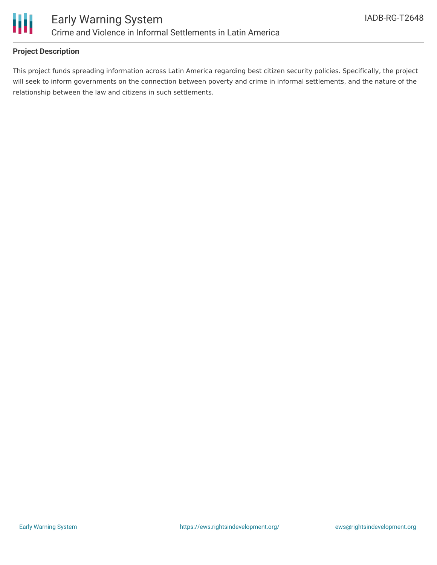

#### **Project Description**

This project funds spreading information across Latin America regarding best citizen security policies. Specifically, the project will seek to inform governments on the connection between poverty and crime in informal settlements, and the nature of the relationship between the law and citizens in such settlements.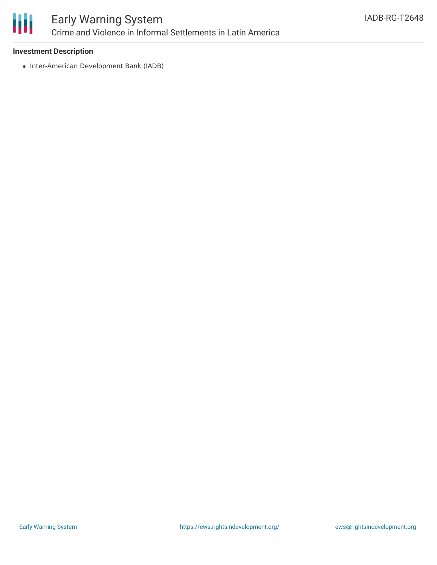

## Early Warning System Crime and Violence in Informal Settlements in Latin America

#### **Investment Description**

• Inter-American Development Bank (IADB)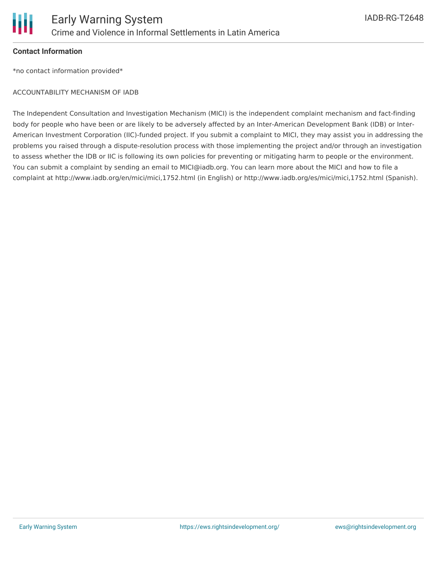

#### **Contact Information**

\*no contact information provided\*

#### ACCOUNTABILITY MECHANISM OF IADB

The Independent Consultation and Investigation Mechanism (MICI) is the independent complaint mechanism and fact-finding body for people who have been or are likely to be adversely affected by an Inter-American Development Bank (IDB) or Inter-American Investment Corporation (IIC)-funded project. If you submit a complaint to MICI, they may assist you in addressing the problems you raised through a dispute-resolution process with those implementing the project and/or through an investigation to assess whether the IDB or IIC is following its own policies for preventing or mitigating harm to people or the environment. You can submit a complaint by sending an email to MICI@iadb.org. You can learn more about the MICI and how to file a complaint at http://www.iadb.org/en/mici/mici,1752.html (in English) or http://www.iadb.org/es/mici/mici,1752.html (Spanish).